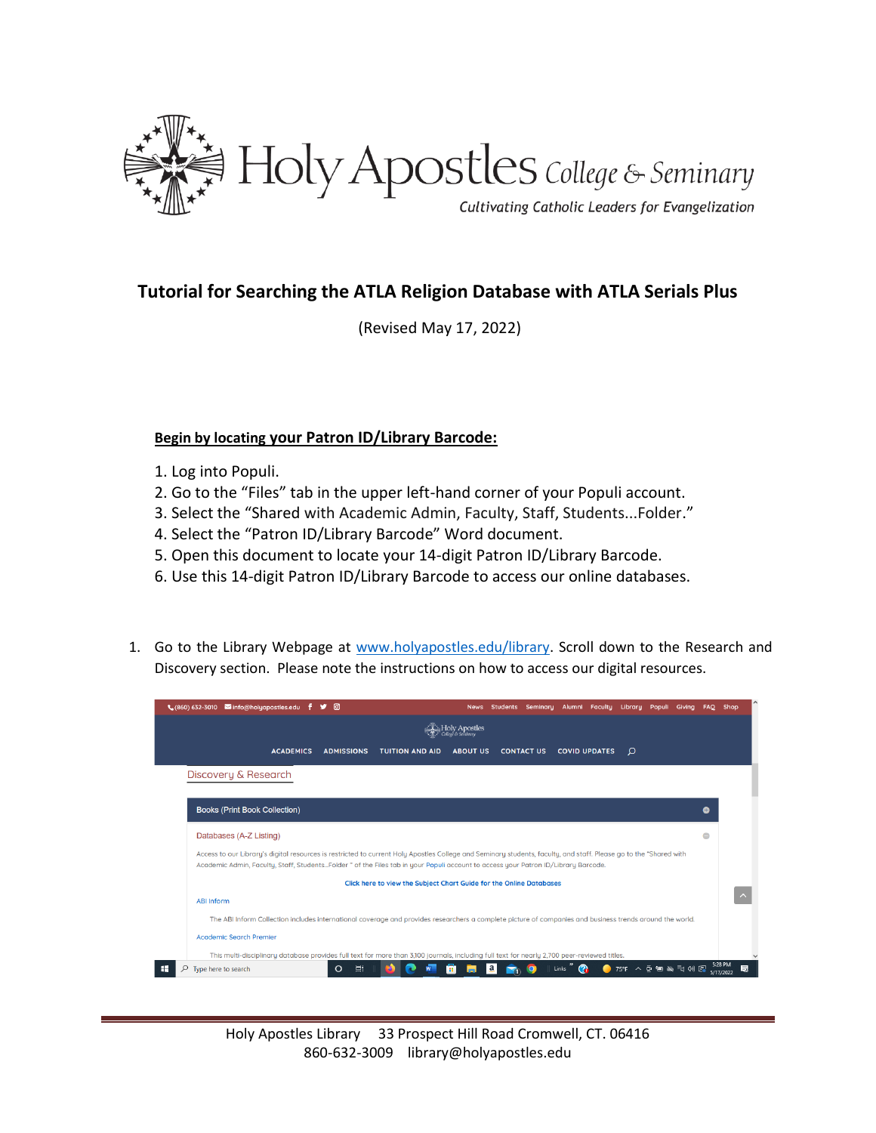

## **Tutorial for Searching the ATLA Religion Database with ATLA Serials Plus**

(Revised May 17, 2022)

## **Begin by locating your Patron ID/Library Barcode:**

- 1. Log into Populi.
- 2. Go to the "Files" tab in the upper left-hand corner of your Populi account.
- 3. Select the "Shared with Academic Admin, Faculty, Staff, Students...Folder."
- 4. Select the "Patron ID/Library Barcode" Word document.
- 5. Open this document to locate your 14-digit Patron ID/Library Barcode.
- 6. Use this 14-digit Patron ID/Library Barcode to access our online databases.
- 1. Go to the Library Webpage at [www.holyapostles.edu/library.](http://www.holyapostles.edu/library) Scroll down to the Research and Discovery section. Please note the instructions on how to access our digital resources.

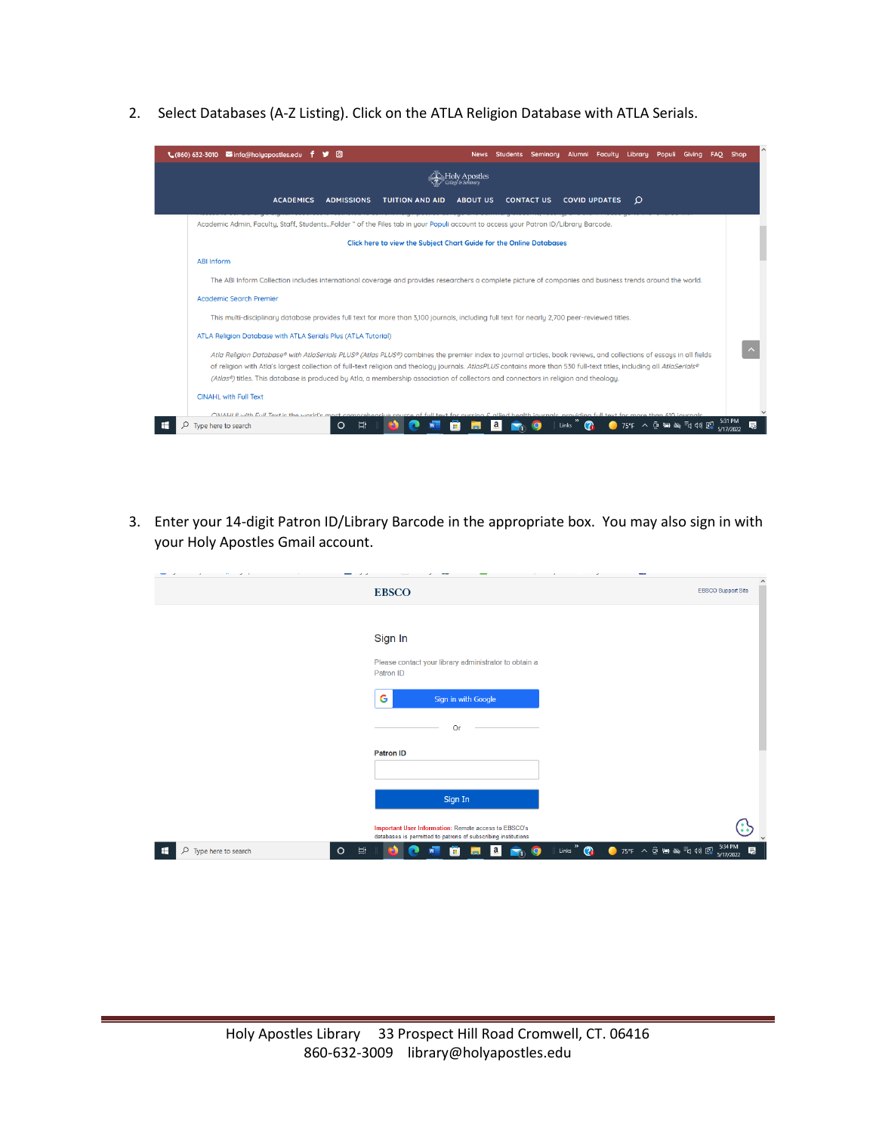2. Select Databases (A-Z Listing). Click on the ATLA Religion Database with ATLA Serials.



3. Enter your 14-digit Patron ID/Library Barcode in the appropriate box. You may also sign in with your Holy Apostles Gmail account.

|                              |               | <b>EBSCO</b>                                                                                                          | <b>EBSCO Support Site</b>                                                                                                |
|------------------------------|---------------|-----------------------------------------------------------------------------------------------------------------------|--------------------------------------------------------------------------------------------------------------------------|
|                              |               |                                                                                                                       |                                                                                                                          |
|                              |               |                                                                                                                       |                                                                                                                          |
|                              |               | Sign In                                                                                                               |                                                                                                                          |
|                              |               | Please contact your library administrator to obtain a<br>Patron ID                                                    |                                                                                                                          |
|                              |               | G<br>Sign in with Google                                                                                              |                                                                                                                          |
|                              |               | O <sub>I</sub>                                                                                                        |                                                                                                                          |
|                              |               | <b>Patron ID</b>                                                                                                      |                                                                                                                          |
|                              |               |                                                                                                                       |                                                                                                                          |
|                              |               | Sign In                                                                                                               |                                                                                                                          |
|                              |               | Important User Information: Remote access to EBSCO's<br>databases is permitted to patrons of subscribing institutions |                                                                                                                          |
| H<br>$O$ Type here to search | $\circ$<br>買i | Links <sup>"</sup><br>a<br>o<br>×<br>E'n,                                                                             | 5:34 PM<br>$\bigcirc$ 75°F $\land$ $\odot$ to $\blacktriangle$ $\exists$ $\uparrow$ $\uparrow$ $\odot$<br>局<br>5/17/2022 |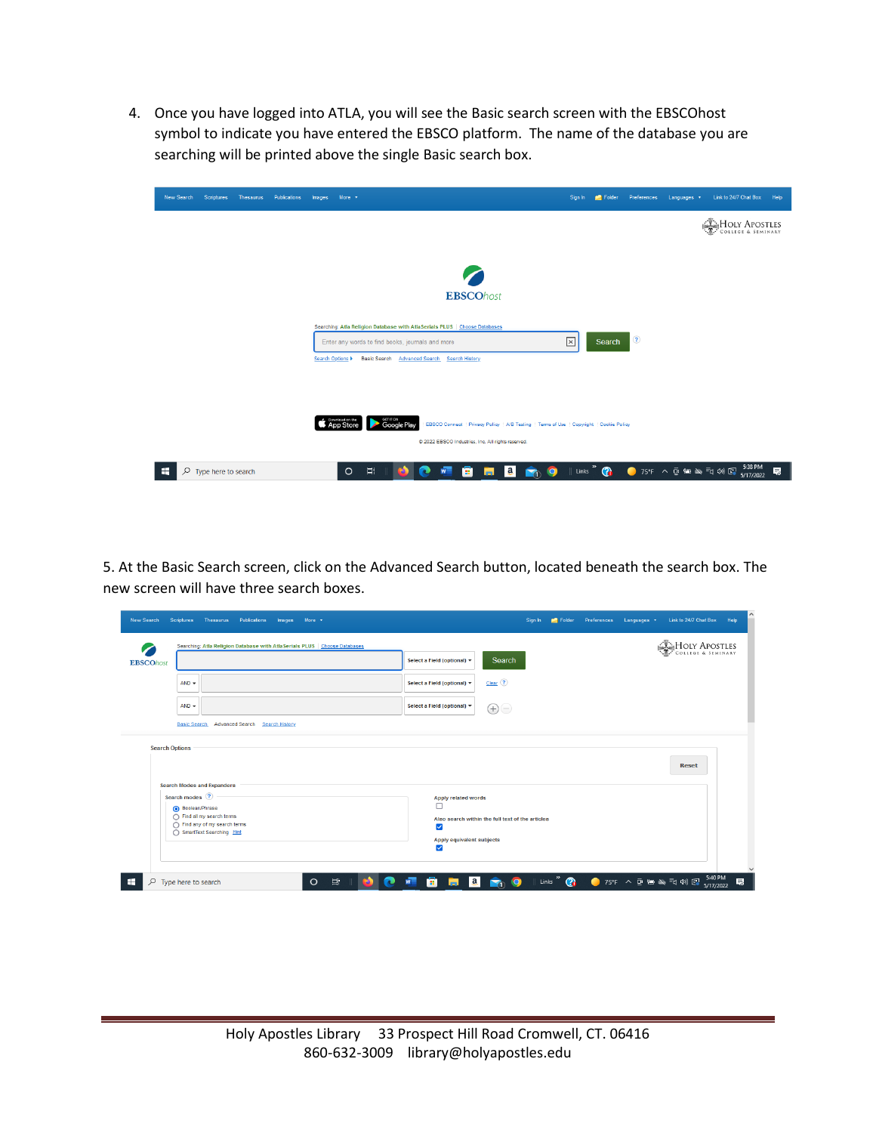4. Once you have logged into ATLA, you will see the Basic search screen with the EBSCOhost symbol to indicate you have entered the EBSCO platform. The name of the database you are searching will be printed above the single Basic search box.

| <b>New Search</b> | <b>Scriptures</b>   | Thesaurus | Publications | More v<br>Images                                                     |                                                                                                                           | Sign In                                                                                 | Folder | Preferences   | Languages v | Link to 24/7 Chat Box               | Help |
|-------------------|---------------------|-----------|--------------|----------------------------------------------------------------------|---------------------------------------------------------------------------------------------------------------------------|-----------------------------------------------------------------------------------------|--------|---------------|-------------|-------------------------------------|------|
|                   |                     |           |              |                                                                      |                                                                                                                           |                                                                                         |        |               |             | HOLY APOSTLES<br>COLLEGE & SEMINARY |      |
|                   |                     |           |              |                                                                      |                                                                                                                           |                                                                                         |        |               |             |                                     |      |
|                   |                     |           |              |                                                                      | <b>EBSCOhost</b>                                                                                                          |                                                                                         |        |               |             |                                     |      |
|                   |                     |           |              | Enter any words to find books, journals and more<br>Search Options > | Searching: Atla Religion Database with AtlaSerials PLUS   Choose Databases<br>Basic Search Advanced Search Search History | $\boxed{\mathbf{x}}$                                                                    | Search | $\circled{?}$ |             |                                     |      |
|                   |                     |           |              | S App Store                                                          | GETITON<br><b>Google Play</b>                                                                                             | EBSCO Connect   Privacy Policy   A/B Testing   Terms of Use   Copyright   Cookie Policy |        |               |             |                                     |      |
|                   |                     |           |              |                                                                      | @ 2022 EBSCO Industries, Inc. All rights reserved.                                                                        |                                                                                         |        |               |             |                                     |      |
| Q                 | Type here to search |           |              | Ξi<br>$\circ$                                                        | ā<br>ы<br>ಾ<br>W<br>a                                                                                                     | a <br><b>R</b> <sub>0</sub> <sup>9</sup>                                                |        |               |             |                                     | 見    |

5. At the Basic Search screen, click on the Advanced Search button, located beneath the search box. The new screen will have three search boxes.

| $\bullet$             | Searching: Atla Religion Database with AtlaSerials PLUS   Choose Databases |                |                                                |                                                  |  | HOLY APOSTLES |  |
|-----------------------|----------------------------------------------------------------------------|----------------|------------------------------------------------|--------------------------------------------------|--|---------------|--|
| <b>EBSCOhost</b>      |                                                                            |                | Select a Field (optional) =                    | Search                                           |  |               |  |
|                       | $AND -$                                                                    |                | Select a Field (optional) $\blacktriangledown$ | $Clear$ $(2)$                                    |  |               |  |
|                       | $AND -$                                                                    |                | Select a Field (optional) *                    | $\bigoplus$                                      |  |               |  |
|                       |                                                                            |                |                                                |                                                  |  |               |  |
|                       | Basic Search Advanced Search                                               | Search History |                                                |                                                  |  |               |  |
| <b>Search Options</b> |                                                                            |                |                                                |                                                  |  |               |  |
|                       |                                                                            |                |                                                |                                                  |  | <b>Reset</b>  |  |
|                       | <b>Search Modes and Expanders</b>                                          |                |                                                |                                                  |  |               |  |
|                       | Search modes ?                                                             |                | <b>Apply related words</b>                     |                                                  |  |               |  |
|                       | Boolean/Phrase<br>Find all my search terms                                 |                | □                                              | Also search within the full text of the articles |  |               |  |
|                       | Find any of my search terms<br>SmartText Searching Hint                    |                | ⊽                                              |                                                  |  |               |  |
|                       |                                                                            |                | Apply equivalent subjects<br>⊽                 |                                                  |  |               |  |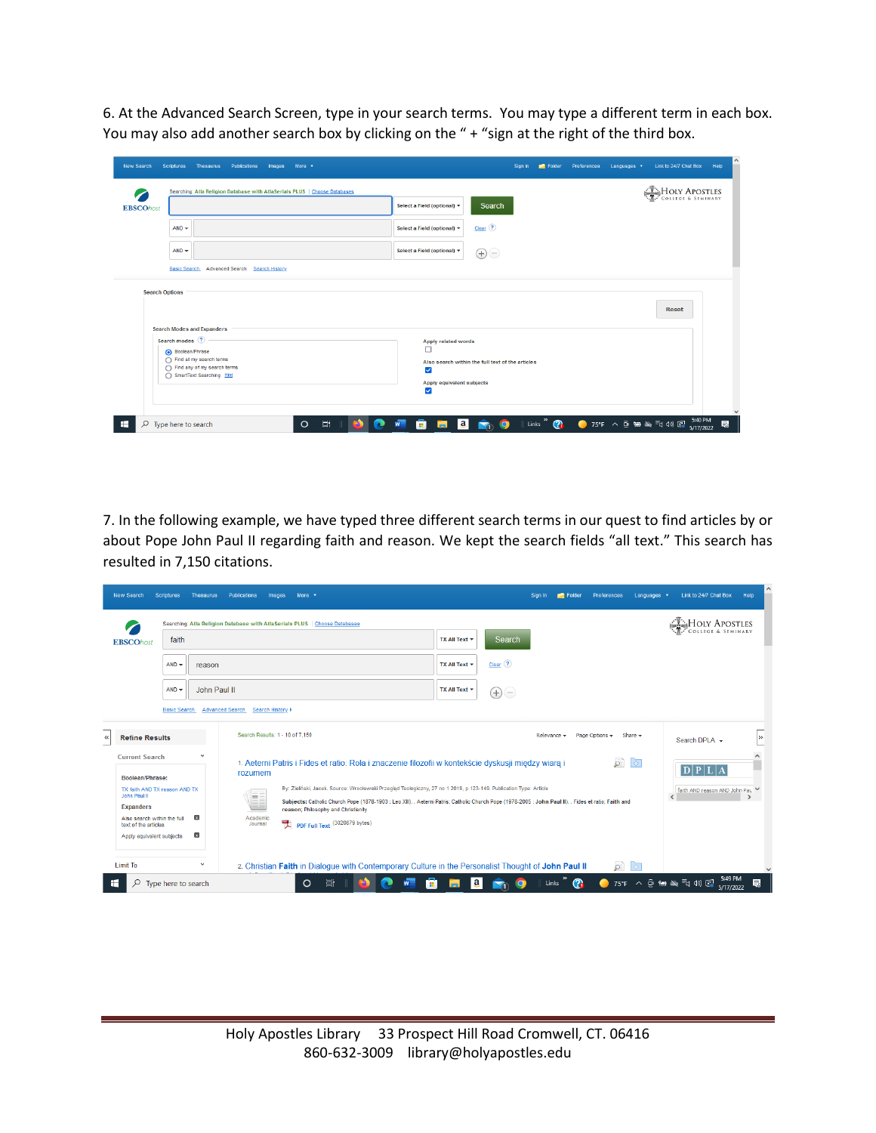6. At the Advanced Search Screen, type in your search terms. You may type a different term in each box. You may also add another search box by clicking on the " + "sign at the right of the third box.

| <b>New Search</b><br>$\bullet$ | Scriptures<br>Thesaurus<br>Publications<br>More v<br>Images<br>Searching: Atla Religion Database with AtlaSerials PLUS   Choose Databases                      | Link to 24/7 Chat Box<br>Preferences<br>Languages v<br>Help<br>Folder<br>Sign In<br>HOLY APOSTLES                                                                                                                                    |
|--------------------------------|----------------------------------------------------------------------------------------------------------------------------------------------------------------|--------------------------------------------------------------------------------------------------------------------------------------------------------------------------------------------------------------------------------------|
| <b>EBSCOhost</b>               |                                                                                                                                                                | ". COLLEGE & SEMINARY<br>Search<br>Select a Field (optional) *                                                                                                                                                                       |
|                                | $AND -$                                                                                                                                                        | $Clear$ $(?)$<br>Select a Field (optional) =                                                                                                                                                                                         |
|                                | $AND -$                                                                                                                                                        | Select a Field (optional) =<br>$\bigoplus \bigoplus$                                                                                                                                                                                 |
| <b>Search Options</b>          | <b>Search Modes and Expanders</b><br>Search modes ?<br>Boolean/Phrase<br>find all my search terms<br>◯ Find any of my search terms<br>SmartText Searching Hint | <b>Reset</b><br><b>Apply related words</b><br>п<br>Also search within the full text of the articles<br>$\overline{\checkmark}$<br>Apply equivalent subjects<br>⊽                                                                     |
| æ                              | $\circ$<br>Ξi<br>$\varphi$ Type here to search                                                                                                                 | $\sim$<br>5:40 PM<br>Links <sup>"</sup><br>$\bigcirc$ 75°F $\land$ $\odot$ $\cong$ $\cong$ $\exists$ <sub>1</sub> $\rightsquigarrow$ $\boxdot$<br>ê<br> a <br>見<br><b>R</b> <sub>0</sub> <sup>(0</sup> )<br><b>Inch</b><br>5/17/2022 |

7. In the following example, we have typed three different search terms in our quest to find articles by or about Pope John Paul II regarding faith and reason. We kept the search fields "all text." This search has resulted in 7,150 citations.

| <b>EBSCOhost</b>                                                        | faith                     |                              | Searching: Atla Religion Database with Atla Serials PLUS   Choose Databases                                                                                                                                                                                                     | TX All Text ▼      | Search      |                                                      | HOLY APOSTLES   |
|-------------------------------------------------------------------------|---------------------------|------------------------------|---------------------------------------------------------------------------------------------------------------------------------------------------------------------------------------------------------------------------------------------------------------------------------|--------------------|-------------|------------------------------------------------------|-----------------|
|                                                                         | $AND -$                   | reason                       |                                                                                                                                                                                                                                                                                 | TX All Text ▼      | $Clear$ (?) |                                                      |                 |
|                                                                         | $AND -$                   | John Paul II                 |                                                                                                                                                                                                                                                                                 | TX All Text $\tau$ | $\bigoplus$ |                                                      |                 |
| <b>Refine Results</b>                                                   | <b>Basic Search</b>       | <b>Advanced Search</b>       | Search History ><br>Search Results: 1 - 10 of 7,150                                                                                                                                                                                                                             |                    |             | Page Options $\star$<br>Share $\star$<br>Relevance v | Search DPLA +   |
| <b>Current Search</b><br>Boolean/Phrase:                                |                           |                              | 1. Aeterni Patris i Fides et ratio: Rola i znaczenie filozofii w kontekście dyskusji miedzy wiarą i<br>rozumem                                                                                                                                                                  |                    |             | $\overline{D}$<br>$\Theta$                           | $D$ $P$ $L$ $A$ |
| TX faith AND TX reason AND TX<br>John Paul II                           |                           |                              | By: Zieliński, Jacek. Source: Wrocławski Przegląd Teologiczny, 27 no 1 2019, p 123-149. Publication Type: Article<br>m<br>Subjects: Catholic Church Pope (1878-1903 : Leo XIII). . Aeterni Patris; Catholic Church Pope (1978-2005 : John Paul II). . Fides et ratio; Faith and |                    |             | faith AND reason AND John Pau                        |                 |
| <b>Expanders</b><br>Also search within the full<br>text of the articles | Apply equivalent subjects | $\mathbf{x}$<br>$\mathbf{x}$ | reason; Philosophy and Christianity<br>Academic<br>PDF Full Text (3020879 bytes)<br>Journal                                                                                                                                                                                     |                    |             |                                                      |                 |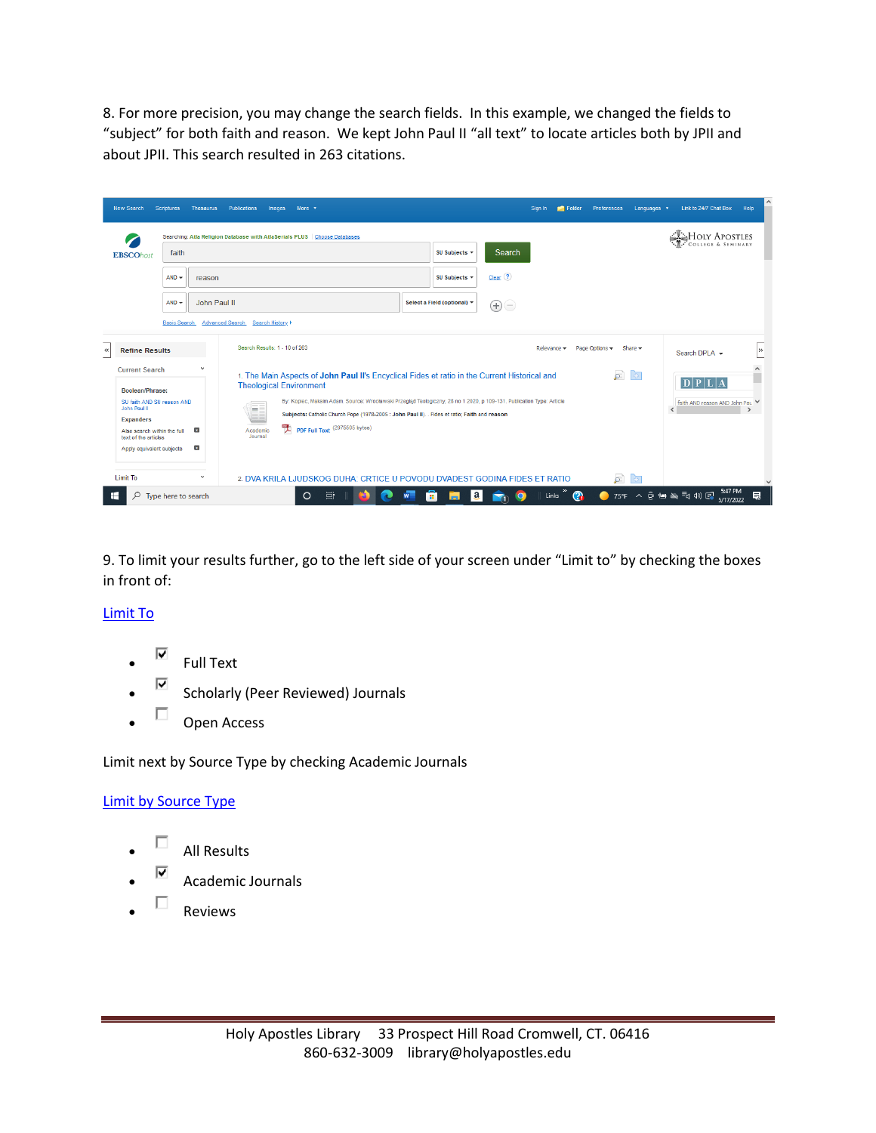8. For more precision, you may change the search fields. In this example, we changed the fields to "subject" for both faith and reason. We kept John Paul II "all text" to locate articles both by JPII and about JPII. This search resulted in 263 citations.

| <b>New Search</b>                                                                                                                                                                                                                | <b>Scriptures</b>              | <b>Thesaurus</b>                             | More $\sqrt{ }$<br><b>Publications</b><br>Images                                                                                                                                                                                                                                                                                                                                                                                                       | Sign In     | Folder                 | Preferences                | Languages v                     | Link to 24/7 Chat Box<br>Help                                               |
|----------------------------------------------------------------------------------------------------------------------------------------------------------------------------------------------------------------------------------|--------------------------------|----------------------------------------------|--------------------------------------------------------------------------------------------------------------------------------------------------------------------------------------------------------------------------------------------------------------------------------------------------------------------------------------------------------------------------------------------------------------------------------------------------------|-------------|------------------------|----------------------------|---------------------------------|-----------------------------------------------------------------------------|
| faith<br><b>EBSCOhost</b><br>$AND -$<br>reason                                                                                                                                                                                   |                                |                                              | Searching: Atla Religion Database with AtlaSerials PLUS   Choose Databases<br>Search<br>SU Subjects $\tau$<br>$Clear$ $(?)$<br>SU Subjects -                                                                                                                                                                                                                                                                                                           |             |                        |                            |                                 | HOLY APOSTLES<br>COLLEGE & SEMINARY                                         |
|                                                                                                                                                                                                                                  | $AND -$<br><b>Basic Search</b> |                                              | John Paul II<br>Select a Field (optional) ▼<br>$\bigoplus\bigodot$<br>Advanced Search Search History >                                                                                                                                                                                                                                                                                                                                                 |             |                        |                            |                                 |                                                                             |
| <b>Refine Results</b><br>$\ll$<br><b>Current Search</b><br>Boolean/Phrase:<br>SU faith AND SU reason AND<br>John Paul II<br><b>Expanders</b><br>Also search within the full<br>text of the articles<br>Apply equivalent subjects |                                | $\checkmark$<br>$\mathbf{x}$<br>$\mathbf{x}$ | Search Results: 1 - 10 of 263<br>1. The Main Aspects of John Paul II's Encyclical Fides et ratio in the Current Historical and<br><b>Theological Environment</b><br>By: Kopiec, Maksim Adam. Source: Wrocławski Przegląd Teologiczny, 28 no 1 2020, p 109-131. Publication Type: Article<br>m<br>Subjects: Catholic Church Pope (1978-2005 : John Paul II). . Fides et ratio; Faith and reason<br>PDF Full Text (2975505 bytes)<br>Academic<br>Journal | Relevance v |                        | Page Options -<br>$\sigma$ | Share $\star$<br>$\overline{+}$ | $\rightarrow$<br>Search DPLA -<br>$D$ $PL$<br>faith AND reason AND John Pau |
| <b>Limit To</b><br>æ<br>Q                                                                                                                                                                                                        | Type here to search            | $\checkmark$                                 | 2. DVA KRILA LJUDSKOG DUHA: CRTICE U POVODU DVADEST GODINA FIDES ET RATIO<br> a <br>Ħ<br>$\circ$<br>O<br>m<br>m.<br><b>M</b>                                                                                                                                                                                                                                                                                                                           |             | Links $\sum_{i=1}^{N}$ | $\sqrt{2}$                 | $\Theta$                        | 5:47 PM<br>75°F へ @ 轴 & iq (1) 图<br>最<br>5/17/2022                          |

9. To limit your results further, go to the left side of your screen under "Limit to" by checking the boxes in front of:

## [Limit To](http://eds.a.ebscohost.com/ehost/resultsadvanced?vid=9&sid=b519eb53-e893-4e70-8213-e9b3ccf6dd32%40sdc-v-sessmgr06&bquery=TX+knowing+god+AND+TX+nature&bdata=JmRiPWxzZGFyJnR5cGU9MSZzaXRlPWVob3N0LWxpdmUmc2NvcGU9c2l0ZQ%3d%3d)

- $\overline{\mathsf{P}}$  Full Text
- $\blacksquare$  Scholarly (Peer Reviewed) Journals
- $\Box$  Open Access

Limit next by Source Type by checking Academic Journals

## [Limit by Source Type](http://eds.a.ebscohost.com/ehost/resultsadvanced?vid=9&sid=b519eb53-e893-4e70-8213-e9b3ccf6dd32%40sdc-v-sessmgr06&bquery=TX+knowing+god+AND+TX+nature&bdata=JmRiPWxzZGFyJnR5cGU9MSZzaXRlPWVob3N0LWxpdmUmc2NvcGU9c2l0ZQ%3d%3d)

- $\Box$  All Results
- $\overline{\triangledown}$  Academic Journals
- $\square$  Reviews